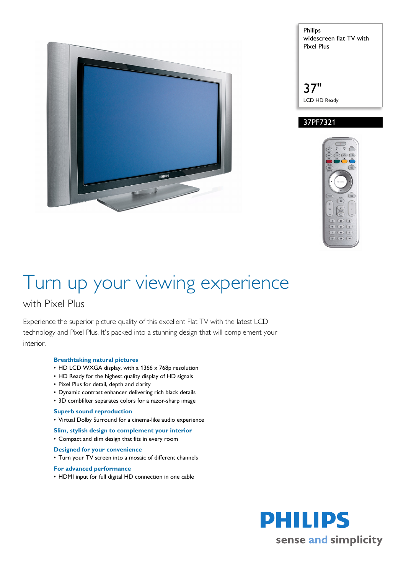



37" LCD HD Ready

#### 37PF7321



# Turn up your viewing experience

### with Pixel Plus

Experience the superior picture quality of this excellent Flat TV with the latest LCD technology and Pixel Plus. It's packed into a stunning design that will complement your interior.

#### **Breathtaking natural pictures**

- HD LCD WXGA display, with a 1366 x 768p resolution
- HD Ready for the highest quality display of HD signals
- Pixel Plus for detail, depth and clarity
- Dynamic contrast enhancer delivering rich black details
- 3D combfilter separates colors for a razor-sharp image

#### **Superb sound reproduction**

- Virtual Dolby Surround for a cinema-like audio experience
- **Slim, stylish design to complement your interior**
- Compact and slim design that fits in every room

#### **Designed for your convenience**

• Turn your TV screen into a mosaic of different channels

#### **For advanced performance**

• HDMI input for full digital HD connection in one cable

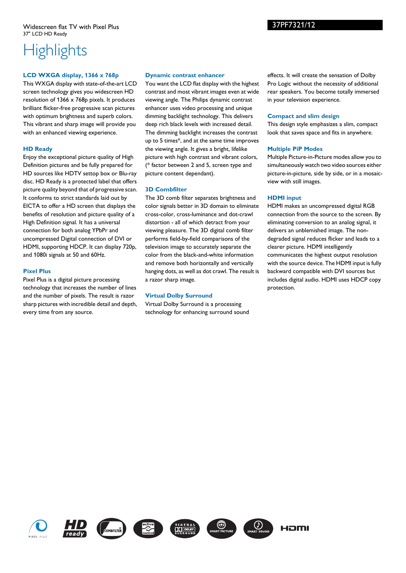## **Highlights**

#### **LCD WXGA display, 1366 x 768p**

This WXGA display with state-of-the-art LCD screen technology gives you widescreen HD resolution of 1366 x 768p pixels. It produces brilliant flicker-free progressive scan pictures with optimum brightness and superb colors. This vibrant and sharp image will provide you with an enhanced viewing experience.

#### **HD Ready**

Enjoy the exceptional picture quality of High Definition pictures and be fully prepared for HD sources like HDTV settop box or Blu-ray disc. HD Ready is a protected label that offers picture quality beyond that of progressive scan. It conforms to strict standards laid out by EICTA to offer a HD screen that displays the benefits of resolution and picture quality of a High Definition signal. It has a universal connection for both analog YPbPr and uncompressed Digital connection of DVI or HDMI, supporting HDCP. It can display 720p, and 1080i signals at 50 and 60Hz.

#### **Pixel Plus**

Pixel Plus is a digital picture processing technology that increases the number of lines and the number of pixels. The result is razor sharp pictures with incredible detail and depth, every time from any source.

#### **Dynamic contrast enhancer**

You want the LCD flat display with the highest contrast and most vibrant images even at wide viewing angle. The Philips dynamic contrast enhancer uses video processing and unique dimming backlight technology. This delivers deep rich black levels with increased detail. The dimming backlight increases the contrast up to 5 times\*, and at the same time improves the viewing angle. It gives a bright, lifelike picture with high contrast and vibrant colors, (\* factor between 2 and 5, screen type and picture content dependant).

#### **3D Combfilter**

The 3D comb filter separates brightness and color signals better in 3D domain to eliminate cross-color, cross-luminance and dot-crawl distortion - all of which detract from your viewing pleasure. The 3D digital comb filter performs field-by-field comparisons of the television image to accurately separate the color from the black-and-white information and remove both horizontally and vertically hanging dots, as well as dot crawl. The result is a razor sharp image.

#### **Virtual Dolby Surround**

Virtual Dolby Surround is a processing technology for enhancing surround sound effects. It will create the sensation of Dolby Pro Logic without the necessity of additional rear speakers. You become totally immersed in your television experience.

#### **Compact and slim design**

This design style emphasizes a slim, compact look that saves space and fits in anywhere.

#### **Multiple PiP Modes**

Multiple Picture-in-Picture modes allow you to simultaneously watch two video sources either picture-in-picture, side by side, or in a mosaicview with still images.

#### **HDMI input**

HDMI makes an uncompressed digital RGB connection from the source to the screen. By eliminating conversion to an analog signal, it delivers an unblemished image. The nondegraded signal reduces flicker and leads to a clearer picture. HDMI intelligently communicates the highest output resolution with the source device. The HDMI input is fully backward compatible with DVI sources but includes digital audio. HDMI uses HDCP copy protection.